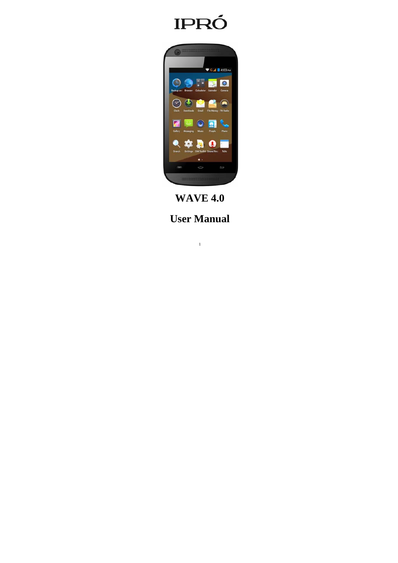



**WAVE 4.0** 

**User Manual**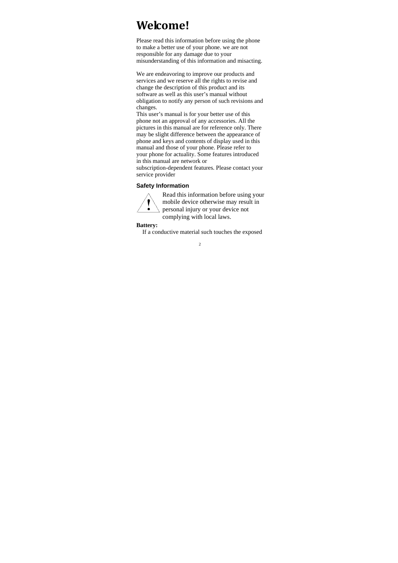# **Welcome!**

Please read this information before using the phone to make a better use of your phone. we are not responsible for any damage due to your misunderstanding of this information and misacting.

We are endeavoring to improve our products and services and we reserve all the rights to revise and change the description of this product and its software as well as this user's manual without obligation to notify any person of such revisions and changes.

This user's manual is for your better use of this phone not an approval of any accessories. All the pictures in this manual are for reference only. There may be slight difference between the appearance of phone and keys and contents of display used in this manual and those of your phone. Please refer to your phone for actuality. Some features introduced in this manual are network or

subscription-dependent features. Please contact your service provider

## **Safety Information**



Read this information before using your mobile device otherwise may result in personal injury or your device not complying with local laws.

**Battery:** 

If a conductive material such touches the exposed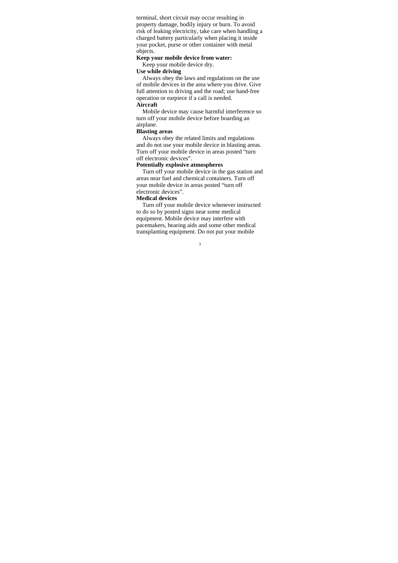terminal, short circuit may occur resulting in property damage, bodily injury or burn. To avoid risk of leaking electricity, take care when handling a charged battery particularly when placing it inside your pocket, purse or other container with metal objects.

## **Keep your mobile device from water:**

## Keep your mobile device dry.

## **Use while driving**

Always obey the laws and regulations on the use of mobile devices in the area where you drive. Give full attention to driving and the road; use hand-free operation or earpiece if a call is needed. **Aircraft** 

Mobile device may cause harmful interference so turn off your mobile device before boarding an airplane.

## **Blasting areas**

Always obey the related limits and regulations and do not use your mobile device in blasting areas. Turn off your mobile device in areas posted "turn off electronic devices".

## **Potentially explosive atmospheres**

Turn off your mobile device in the gas station and areas near fuel and chemical containers. Turn off your mobile device in areas posted "turn off electronic devices".

## **Medical devices**

Turn off your mobile device whenever instructed to do so by posted signs near some medical equipment. Mobile device may interfere with pacemakers, hearing aids and some other medical transplanting equipment. Do not put your mobile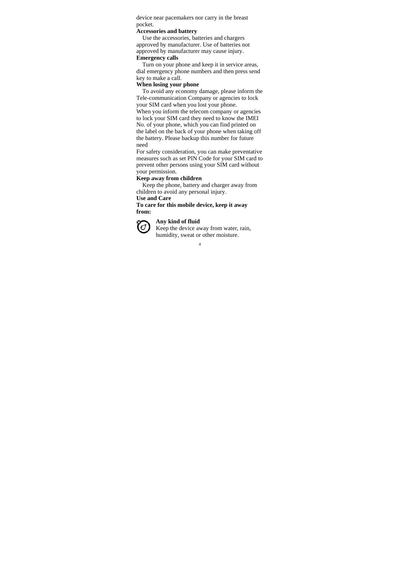device near pacemakers nor carry in the breast pocket.

#### **Accessories and battery**

Use the accessories, batteries and chargers approved by manufacturer. Use of batteries not approved by manufacturer may cause injury. **Emergency calls** 

Turn on your phone and keep it in service areas, dial emergency phone numbers and then press send key to make a call.

## **When losing your phone**

To avoid any economy damage, please inform the Tele-communication Company or agencies to lock your SIM card when you lost your phone.

When you inform the telecom company or agencies to lock your SIM card they need to know the IMEI No. of your phone, which you can find printed on the label on the back of your phone when taking off the battery. Please backup this number for future need

For safety consideration, you can make preventative measures such as set PIN Code for your SIM card to prevent other persons using your SIM card without your permission.

## **Keep away from children**

Keep the phone, battery and charger away from children to avoid any personal injury.

**Use and Care** 

**To care for this mobile device, keep it away from:** 



## **Any kind of fluid**

Keep the device away from water, rain, humidity, sweat or other moisture.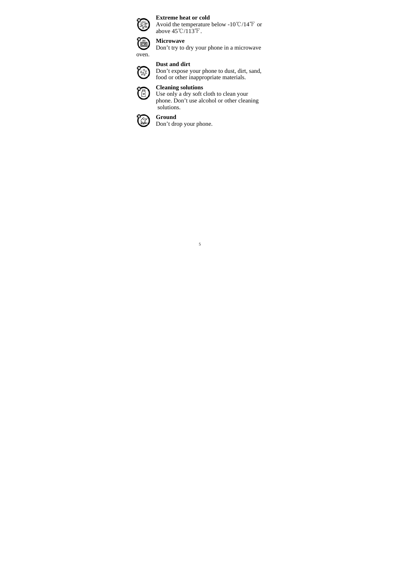

## **Extreme heat or cold**

Avoid the temperature below -10 °C/14 °F or above  $45^{\circ}$ C/113<sup>°</sup>F.



Don't try to dry your phone in a microwave

## **Dust and dirt**

 $\sum_{\substack{0.88\\ \text{food or this nonzero point}}}\nabla \cos \theta$ food or other inappropriate materials.





5

Use only a dry soft cloth to clean your phone. Don't use alcohol or other cleaning solutions.

#### **Ground**   $\chi$  )

Don't drop your phone.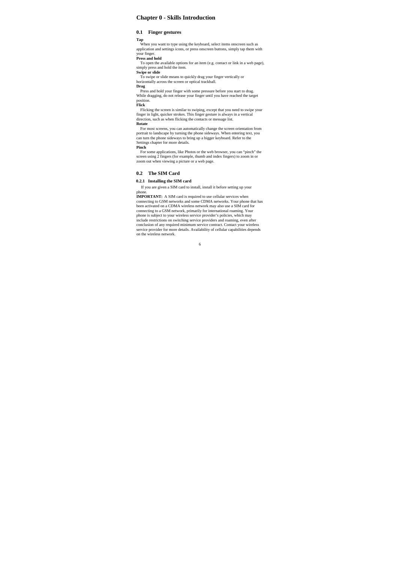## **Chapter 0 - Skills Introduction**

## **0.1 Finger gestures**

**Tap** When you want to type using the keyboard, select items onscreen such as application and settings icons, or press onscreen buttons, simply tap them with your finger. **Press and hold**

To open the available options for an item (e.g. contact or link in a web page), simply press and hold the item.

**Swipe or slide** To swipe or slide means to quickly drag your finger vertically or horizontally across the screen or optical trackball.

**Drag**

Press and hold your finger with some pressure before you start to drag. While dragging, do not release your finger until you have reached the target position. **Flick**

Flicking the screen is similar to swiping, except that you need to swipe your finger in light, quicker strokes. This finger gesture is always in a vertical direction, such as when flicking the contacts or message list.

#### **Rotate**

For most screens, you can automatically change the screen orientation from portrait to landscape by turning the phone sideways. When entering text, you can turn the phone sideways to bring up a bigger keyboard. Refer to the Settings chapter for more details.

#### **Pinch**

For some applications, like Photos or the web browser, you can "pinch" the screen using 2 fingers (for example, thumb and index fingers) to zoom in or zoom in or zoom in or  $\sigma$ 

## **0.2 The SIM Card**

#### **0.2.1 Installing the SIM card**

If you are given a SIM card to install, install it before setting up your phone.<br>**IMPORTANT:** A SIM card is required to use cellular services when

connecting to GSM networks and some CDMA networks. Your phone that has been activated on a CDMA wireless network<br>been activated on a CDMA wireless network may also use a SIM card for<br>connecting to a GSM network, primarily phone is subject to your wireless service provider's policies, which may<br>include restrictions on switching service providers and roaming, even after<br>conclusion of any required minimum service contract. Contact your wireles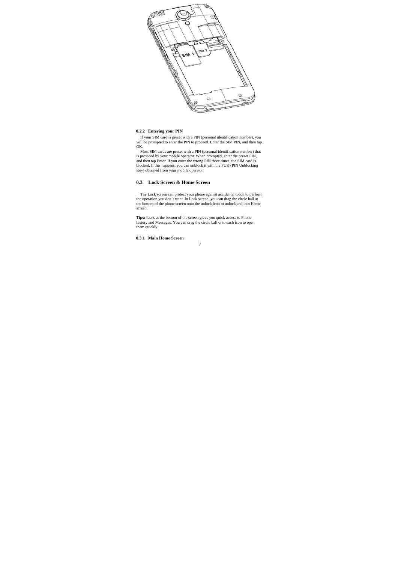

#### **0.2.2 Entering your PIN**

If your SIM card is preset with a PIN (personal identification number), you will be prompted to enter the PIN to proceed. Enter the SIM PIN, and then tap

OK.<br>
Most SIM cards are preset with a PIN (personal identification number) that<br>
is provided by your mobile operator. When prompted, enter the preset PIN,<br>
and then tap Enter. If you enter the wrong PIN three times, the SI

## **0.3 Lock Screen & Home Screen**

The Lock screen can protect your phone against accidental touch to perform<br>the operation you don't want. In Lock screen, you can drag the circle ball at<br>the bottom of the phone screen onto the unlock icon to unlock and int screen.

**Tips:** Icons at the bottom of the screen gives you quick access to Phone history and Messages. You can drag the circle ball onto each icon to open them quickly.

## **0.3.1 Main Home Screen**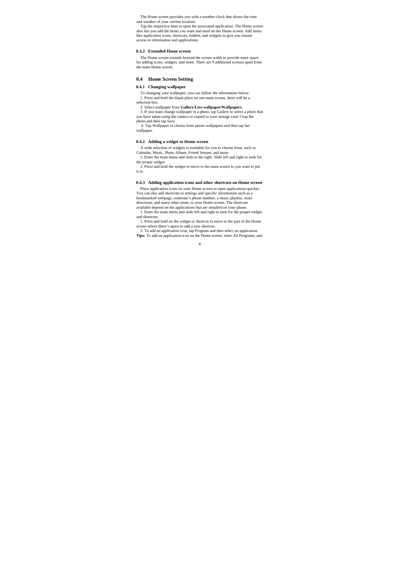The Home screen provides you with a weather clock that shows the time and weather of your current location.

Tap the respective item to open the associated application. The Home screen<br>also lets you add the items you want and need on the Home screen. Add items<br>like application icons, shortcuts, folders, and widgets to give you in access to information and applications.

#### **0.3.2 Extended Home screen**

The Home screen extends beyond the screen width to provide more space for adding icons, widgets, and more. There are 9 additional screens apart from the main Home screen.

#### **0.4 Home Screen Setting**

## **0.4.1 Changing wallpaper**

To changing your wallpaper, you can follow the information below: 1. Press and hold the blank place on one main screen, there will be a selection box.

2. Select wallpaper from **Gallery/Live wallpaper/Wallpapers.** 

3. If you want change wallpaper to a photo, tap Gallery to select a photo that you have taken using the camera or copied to your storage card. Crop the

photo and then tap Save. 4. Tap Wallpaper to choose from preset wallpapers and then tap Set wallpaper.

#### **0.4.2 Adding a widget to Home screen**

A wide selection of widgets is available for you to choose from, such as Calendar, Music, Photo Album, Friend Stream, and more.

1. Enter the main menu and slide to the right. Slide left and right to seek for the proper widget. 2. Press and hold the widget to move to the main screen to you want to put

it in.

#### **0.4.3 Adding application icons and other shortcuts on Home screen**

Place application icons on your Home screen to open applications quicker. You can also add shortcuts to settings and specific information such as a

bookmarked webpage, someone's phone number, a music playlist, route directions, and many other items, to your Home screen. The shortcuts

available depend on the applications that are installed on your phone. 1. Enter the main menu and slide left and right to seek for the proper widget and shortcuts.

2. Press and hold on the widget or shortcut to move to the part of the Home screen where there's space to add a new shortcut. 3. To add an application icon, tap Program and then select an application.

**Tips:** To add an application icon on the Home screen, enter All Programs, and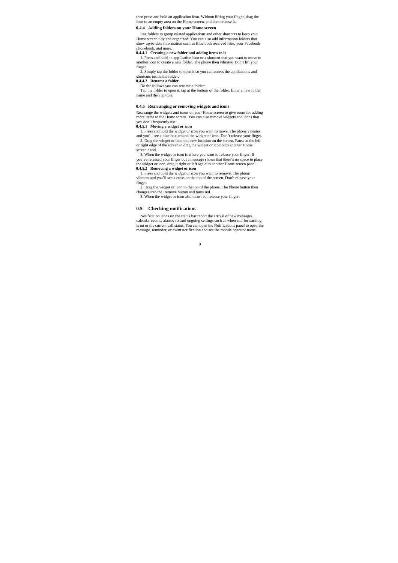then press and hold an application icon. Without lifting your finger, drag the icon to an empty area on the Home screen, and then release it.

#### **0.4.4 Adding folders on your Home screen**

Use folders to group related applications and other shortcuts to keep your Home screen tidy and organized. You can also add information folders that show up-to-date information such as Bluetooth received files, your Facebook phonebook, and more.

#### **0.4.4.1 Creating a new folder and adding items to it**

1. Press and hold an application icon or a shortcut that you want to move to another icon to create a new folder. The phone then vibrates. Don't lift your

finger. 2. Simply tap the folder to open it so you can access the applications and shortcuts inside the folder. **0.4.4.2 Rename a folder** 

Do the follows you can rename a folder: Tap the folder to open it, tap at the bottom of the folder. Enter a new folder name and then tap OK.

#### **0.4.5 Rearranging or removing widgets and icons**

Rearrange the widgets and icons on your Home screen to give room for adding more items to the Home screen. You can also remove widgets and icons that

you don't frequently use. **0.4.5.1 Moving a widget or icon**  1. Press and hold the widget or icon you want to move. The phone vibrates and you'll see a blue box around the widget or icon. Don't release your finger. 2. Drag the widget or icon to a new location on the screen. Pause at the left or right edge of the screen to drag the widget or icon onto another Home screen panel.

3. When the widget or icon is where you want it, release your finger. If you've released your finger but a message shows that there's no space to place the widget or icon, drag it right or left again to another Home screen panel. **0.4.5.2 Removing a widget or icon** 

1. Press and hold the widget or icon you want to remove. The phone vibrates and you'll see a cross on the top of the screen. Don't release your finger.

2. Drag the widget or icon to the top of the phone. The Phone button then changes into the Remove button and turns red. 3. When the widget or icon also turns red, release your finger.

#### **0.5 Checking notifications**

Notification icons on the status bar report the arrival of new messages, calendar events, alarms set and ongoing settings such as when call forwarding is on or the current call status. You can open the Notifications panel to open the message, reminder, or event notification and see the mobile operator name.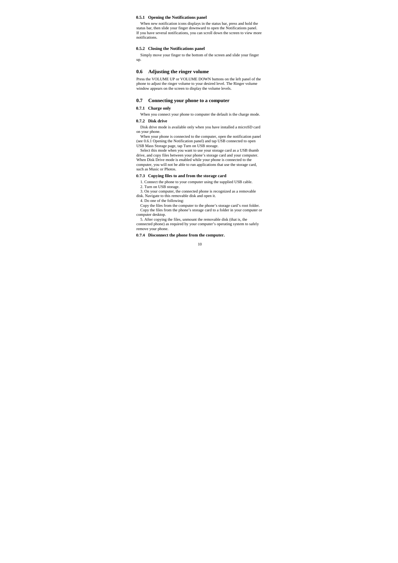#### **0.5.1 Opening the Notifications panel**

When new notification icons displays in the status bar, press and hold the<br>status bar, then slide your finger downward to open the Notifications panel.<br>If you have several notifications, you can scroll down the screen to v notifications.

#### **0.5.2 Closing the Notifications panel**

Simply move your finger to the bottom of the screen and slide your finger up.

#### **0.6 Adjusting the ringer volume**

Press the VOLUME UP or VOLUME DOWN buttons on the left panel of the phone to adjust the ringer volume to your desired level. The Ringer volume window appears on the screen to display the volume levels.

## **0.7 Connecting your phone to a computer**

## **0.7.1 Charge only**

When you connect your phone to computer the default is the charge mode. **0.7.2 Disk drive** 

Disk drive mode is available only when you have installed a microSD card

on your phone. When your phone is connected to the computer, open the notification panel (see 0.6.1 Opening the Notification panel) and tap USB connected to open

USB Mass Storage page, tap Turn on USB storage.<br>Select this mode when you want to use your storage card as a USB thumb<br>drive, and copy files between your phone 's storage card and your computer.<br>When Disk Drive mode is ena computer, you will not be able to run applications that use the storage card, such as Music or Photos.

#### **0.7.3 Copying files to and from the storage card**

1. Connect the phone to your computer using the supplied USB cable. 2. Turn on USB storage.

3. On your computer, the connected phone is recognized as a removable disk. Navigate to this removable disk and open it. 4. Do one of the following:

Copy the files from the computer to the phone's storage card's root folder. Copy the files from the phone's storage card to a folder in your computer or

computer desktop. 5. After copying the files, unmount the removable disk (that is, the

connected phone) as required by your computer's operating system to safely remove your phone.

**0.7.4 Disconnect the phone from the computer.**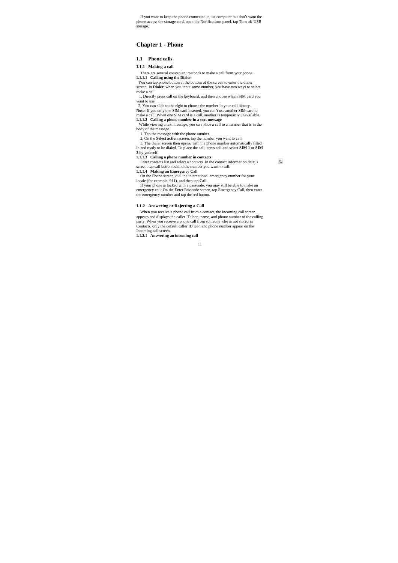If you want to keep the phone connected to the computer but don't want the phone access the storage card, open the Notifications panel, tap Turn off USB storage.

## **Chapter 1 - Phone**

#### **1.1 Phone calls**

## **1.1.1 Making a call**

There are several convenient methods to make a call from your phone.

**1.1.1.1 Calling using the Dialer**<br> **You can tap phone button at the bottom of the screen to enter the dialer**<br>
screen. In **Dialer**, when you input some number, you have two ways to select make a call.

1. Directly press call on the keyboard, and then choose which SIM card you want to use.

2. You can slide to the right to choose the number in your call history.

**Note:** If you only one SIM card inserted, you can't use another SIM card to make a call. When one SIM card is a call, another is temporarily unavailable.

**1.1.1.2 Calling a phone number in a text message**<br>While viewing a text message, you can place a call to a number that is in the body of the message.

1. Tap the message with the phone number.<br>2. On the **Select action** screen, tap the number you want to call.<br>3. The dialer screen then opens, with the phone number automatically filled in and ready to be dialed. To place the call, press call and select **SIM 1** or **SIM** 

 $\mathfrak{c}$ 

**2** by yourself. **1.1.1.3 Calling a phone number in contacts** 

Enter contacts list and select a contacts. In the contact information details

screen, tap call button behind the number you want to call.

**1.1.1.4 Making an Emergency Call**  On the Phone screen, dial the international emergency number for your locale (for example, 911), and then tap **Call**.

If your phone is locked with a passcode, you may still be able to make an emergency call: On the Enter Passcode screen, tap Emergency Call, then enter the emergency number and tap the red button.

#### **1.1.2 Answering or Rejecting a Call**

When you receive a phone call from a contact, the Incoming call screen appears and displays the caller ID icon, name, and phone number of the calling<br>party. When you receive a phone call from someone who is not stored in<br>Contacts, only the default caller ID icon and phone number appear on the

11

**1.1.2.1 Answering an incoming call**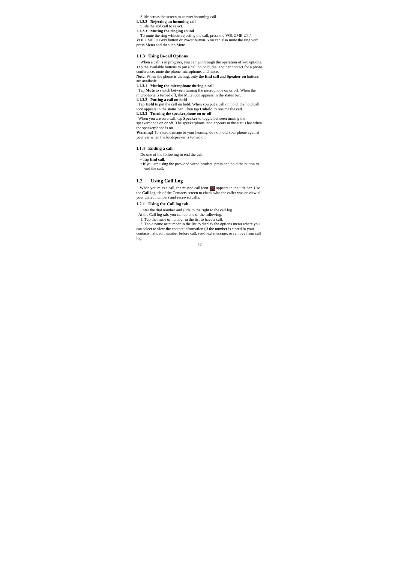Slide across the screen to answer incoming call.

**1.1.2.2 Rejecting an incoming call**  Slide the end call to reject. **1.1.2.3 Muting the ringing sound** 

To mute the ring without rejecting the call, press the VOLUME UP / VOLUME DOWN button or Power button. You can also mute the ring with press Menu and then tap Mute.

#### **1.1.3 Using In-call Options**

When a call is in progress, you can go through the operation of key options. Tap the available buttons to put a call on hold, dial another contact for a phone conference, mute the phone microphone, and more. **Note:** When the phone is dialing, only the **End call** and **Speaker on** buttons are available.

**1.1.3.1 Muting the microphone during a call**  Tap **Mute** to switch between turning the microphone on or off. When the

microphone is turned off, the Mute icon appears in the status bar. **1.1.3.2 Putting a call on hold** 

Tap **Hold** to put the call on hold. When you put a call on hold, the hold call icon appears in the status bar. Then tap **Unhold** to resume the call.

**1.1.3.3 Turning the speakerphone on or off** When you are on a call, tap **Speaker** to toggle between turning the

speakerphone on or off. The speakerphone icon appears in the status bar when the speakerphone is on.

Warning! To avoid damage to your hearing, do not hold your phone against your ear when the loudspeaker is turned on.

#### **1.1.4 Ending a call**

Do one of the following to end the call:

**•** Tap **End call**.

**•** If you are using the provided wired headset, press and hold the button to end the call.

#### **1.2 Using Call Log**

When you miss a call, the missed call icon **a** appears in the title bar. Use the **Call log** tab of the Contacts screen to check who the caller was or view all your dialed numbers and received calls.

## **1.2.1 Using the Call log tab**

Enter the dial number and slide to the right to the call log.

At the Call log tab, you can do one of the following: 1. Tap the name or number in the list to have a call.

2. Tap a name or number in the list to display the options menu where you can select to view the contact information (if the number is stored in your contacts list), edit number before call, send text message, or remove from call log.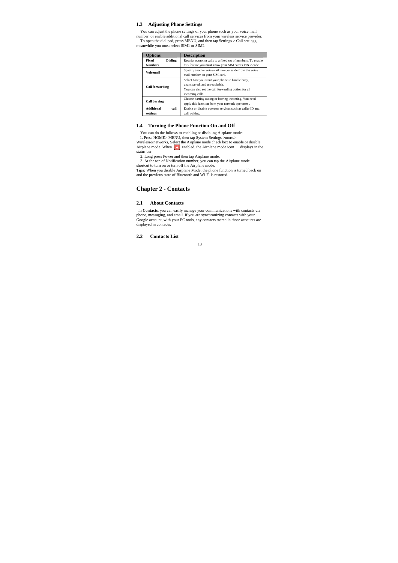#### **1.3 Adjusting Phone Settings**

You can adjust the phone settings of your phone such as your voice mail<br>number, or enable additional call services from your wireless service provider.<br>To open the dial pad, press MENU, and then tap Settings > Call setting

| Options                   | <b>Description</b>                                           |
|---------------------------|--------------------------------------------------------------|
| Fixed<br><b>Dialing</b>   | Restrict outgoing calls to a fixed set of numbers. To enable |
| <b>Numbers</b>            | this feature you must know your SIM card's PIN 2 code.       |
| <b>Voicemail</b>          | Specify another voicemail number aside from the voice        |
|                           | mail number on your SIM card.                                |
| <b>Call forwarding</b>    | Select how you want your phone to handle busy,               |
|                           | unanswered, and unreachable.                                 |
|                           | You can also set the call forwarding option for all          |
|                           | incoming calls.                                              |
| <b>Call barring</b>       | Choose barring outing or barring incoming, You need          |
|                           | apply this function from your network operators.             |
| <b>Additional</b><br>call | Enable or disable operator services such as caller ID and    |
| settings                  | call waiting.                                                |

#### **1.4 Turning the Phone Function On and Off**

You can do the follows to enabling or disabling Airplane mode:<br>1. Press HOME> MENU, then tap System Settings >more.><br>Wireless&networks, Select the Airplane mode check box to enable or disable<br>Airplane mode. When  $\mathbb{Z}\blacktri$ status bar. 2. Long press Power and then tap Airplane mode.

3. At the top of Notification number, you can tap the Airplane mode shortcut to turn on or turn off the Airplane mode.

**Tips:** When you disable Airplane Mode, the phone function is turned back on and the previous state of Bluetooth and Wi-Fi is restored.

## **Chapter 2 - Contacts**

## **2.1 About Contacts**

In **Contacts**, you can easily manage your communications with contacts via<br>phone, messaging, and email. If you are synchronizing contacts with your<br>Google account, with your PC tools, any contacts stored in those accounts displayed in contacts.

**2.2 Contacts List**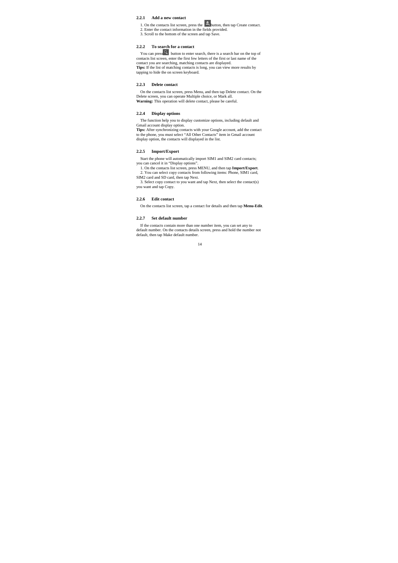## **2.2.1 Add a new contact**

1. On the contacts list screen, press the  $\boxed{2}$  button, then tap Create contact.

2. Enter the contact information in the fields provided. 3. Scroll to the bottom of the screen and tap Save.

## **2.2.2 To search for a contact**

You can press<br>  $\blacksquare$  button to enter search, there is a search bar on the top of<br>
contact sits screen, enter the first few letters of the first or last name of the<br>
contact you are esarching, matching contacts are displa tapping to hide the on screen keyboard.

## **2.2.3 Delete contact**

On the contacts list screen, press Menu, and then tap Delete contact. On the Delete screen, you can operate Multiple choice, or Mark all.<br>Warning: This operation will delete contact, please be careful.

#### **2.2.4 Display options**

The function help you to display customize options, including default and

Gmail account display option.<br>Tips: After synchronizing contacts with your Google account, add the contact<br>to the phone, you must select "All Other Contacts" item in Gmail account<br>display option, the contacts will displaye

#### **2.2.5 Import/Export**

Start the phone will automatically import SIM1 and SIM2 card contacts; you can cancel it in "Display options".

1. On the contacts list screen, press MENU, and then tap **Import/Export**. 2. You can select copy contacts from following items: Phone, SIM1 card,

SIM2 card and SD card, then tap Next. 3. Select copy contact to you want and tap Next, then select the contact(s) you want and tap Copy.

#### **2.2.6 Edit contact**

On the contacts list screen, tap a contact for details and then tap **Menu-Edit**.

#### **2.2.7 Set default number**

If the contacts contain more than one number item, you can set any to default number. On the contacts details screen, press and hold the number not default, then tap Make default number.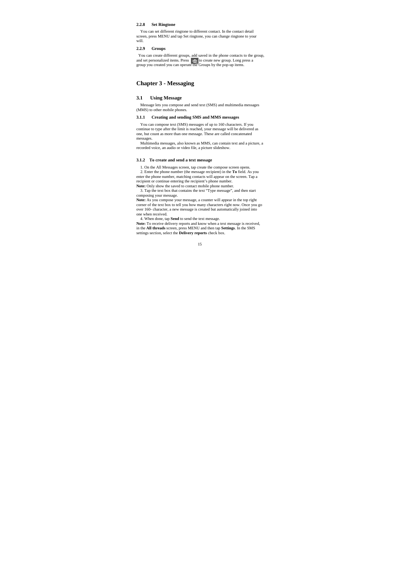#### **2.2.8 Set Ringtone**

You can set different ringtone to different contact. In the contact detail screen, press MENU and tap Set ringtone, you can change ringtone to your will.

#### **2.2.9 Groups**

You can create different groups, add saved in the phone contacts to the group, and set personalized items. Press  $\frac{P_{\text{ex}}}{P_{\text{ex}}}$  to create new group you created you can operate the Groups by the pop-up items.

## **Chapter 3 - Messaging**

## **3.1 Using Message**

Message lets you compose and send text (SMS) and multimedia messages (MMS) to other mobile phones.

## **3.1.1 Creating and sending SMS and MMS messages**

You can compose text (SMS) messages of up to 160 characters. If you continue to type after the limit is reached, your message will be delivered as one, but count as more than one message. These are called concatenated

messages. Multimedia messages, also known as MMS, can contain text and a picture, a recorded voice, an audio or video file, a picture slideshow.

#### **3.1.2 To create and send a text message**

1. On the All Messages screen, tap create the compose screen opens.

2. Enter the phone number (the message recipient) in the **To** field. As you enter the phone number, matching contacts will appear on the screen. Tap a recipient or continue entering the recipient's phone number. **Note:** Only show the saved to contact mobile phone number.

3. Tap the text box that contains the text "Type message", and then start composing your message.

Note: As you compose your message, a counter will appear in the top right corner of the text box to tell you how many characters right now. Once you go over 160- character, a new message is created but automatically joined into one when received.

4. When done, tap **Send** to send the text message.

**Note:** To receive delivery reports and know when a text message is received, in the All threads screen, press MENU and then tap **Settings**. In the SMS settings section, select the **Delivery reports** check box.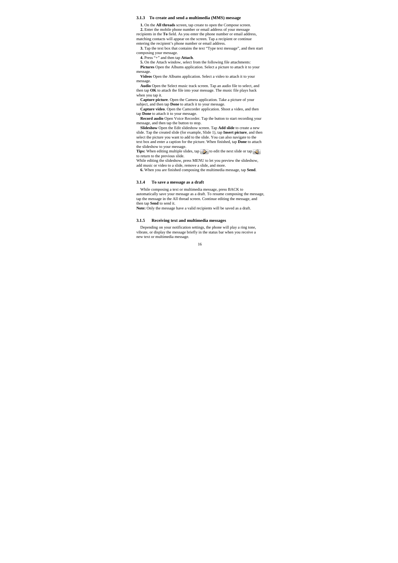#### **3.1.3 To create and send a multimedia (MMS) message**

**1.** On the **All threads** screen, tap create to open the Compose screen.

**2.** Enter the mobile phone number or email address of your message recipients in the **To** field. As you enter the phone number or email address,

matching contacts will appear on the screen. Tap a recipient or continue entering the recipient's phone number or email address.

**3.** Tap the text box that contains the text "Type text message", and then start composing your message.

**4.** Press "+" and then tap **Attach**. **5.** On the Attach window, select from the following file attachments:

**Pictures** Open the Albums application. Select a picture to attach it to your

message. **Videos** Open the Albums application. Select a video to attach it to your message.

**Audio** Open the Select music track screen. Tap an audio file to select, and then tap **OK** to attach the file into your message. The music file plays back when you tap it.

**Capture picture**. Open the Camera application. Take a picture of your

subject, and then tap **Done** to attach it to your message. **Capture video**. Open the Camcorder application. Shoot a video, and then

tap **Done** to attach it to your message. **Record audio** Open Voice Recorder. Tap the button to start recording your

message, and then tap the button to stop. **Slideshow** Open the Edit slideshow screen. Tap **Add slide** to create a new slide. Tap the created slide (for example, Slide 1), tap **Insert picture**, and then select the picture you want to add to the slide. You can also navigate to the

text box and enter a caption for the picture. When finished, tap **Done** to attach the slideshow to your message.<br>**Tips:** When editing multiple slides, tap **D** to edit the next slide or tap

to return to the previous slide.

While editing the slideshow, press MENU to let you preview the slideshow, add music or video to a slide, remove a slide, and more.

**6.** When you are finished composing the multimedia message, tap **Send**.

#### **3.1.4 To save a message as a draft**

While composing a text or multimedia message, press BACK to automatically save your message as a draft. To resume composing the message, tap the message in the All thread screen. Continue editing the message, and then tap **Send** to send it.

**Note:** Only the message have a valid recipients will be saved as a draft.

#### **3.1.5 Receiving text and multimedia messages**

Depending on your notification settings, the phone will play a ring tone, vibrate, or display the message briefly in the status bar when you receive a new text or multimedia message.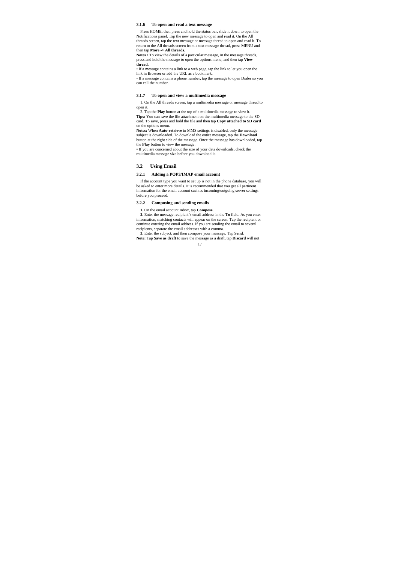#### **3.1.6 To open and read a text message**

Press HOME, then press and hold the status bar, slide it down to open the Notifications panel. Tap the new message to open and read it. On the All threads screen, tap the text message or message thread to open and read it. To return to the All threads screen from a text message thread, press MENU and then tap **More -> All threads. Notes** • To view the details of a particular message, in the message threads,

press and hold the message to open the options menu, and then tap **View thread**.

• If a message contains a link to a web page, tap the link to let you open the link in Browser or add the URL as a bookmark.

• If a message contains a phone number, tap the message to open Dialer so you can call the number.

#### **3.1.7 To open and view a multimedia message**

1. On the All threads screen, tap a multimedia message or message thread to open it.

2. Tap the **Play** button at the top of a multimedia message to view it. **Tips:** You can save the file attachment on the multimedia message to the SD card. To save, press and hold the file and then tap **Copy attached to SD card** on the options menu.

**Notes:** When **Auto-retrieve** in MMS settings is disabled, only the message subject is downloaded. To download the entire message, tap the **Download**

button at the right side of the message. Once the message has downloaded, tap the **Play** button to view the message.<br> **•** If you are concerned about the size of your data downloads, check the multimedia message size before you download it.

#### **3.2 Using Email**

#### **3.2.1 Adding a POP3/IMAP email account**

If the account type you want to set up is not in the phone database, you will be asked to enter more details. It is recommended that you get all pertinent information for the email account such as incoming/outgoing server settings before you proceed.

#### **3.2.2 Composing and sending emails**

**1.** On the email account Inbox, tap **Compose**.

**2.** Enter the message recipient's email address in the **To** field. As you enter information, matching contacts will appear on the screen. Tap the recipient or continue entering the email address. If you are sending the email to several recipients, separate the email addresses with a comma.

**3.** Enter the subject, and then compose your message. Tap **Send**. **Note:** Tap **Save as draft** to save the message as a draft, tap **Discard** will not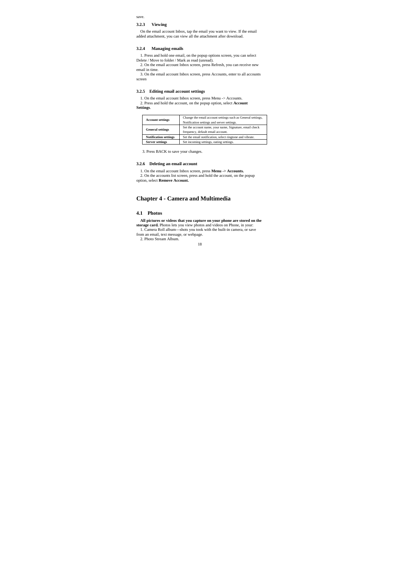save.

### **3.2.3 Viewing**

On the email account Inbox, tap the email you want to view. If the email added attachment, you can view all the attachment after download.

#### **3.2.4 Managing emails**

1. Press and hold one email, on the popup options screen, you can select Delete / Move to folder / Mark as read (unread).<br>2. On the email account Inbox screen, press Refresh, you can receive new

email in time.

3. On the email account Inbox screen, press Accounts, enter to all accounts screen

## **3.2.5 Editing email account settings**

1. On the email account Inbox screen, press Menu -> Accounts. 2. Press and hold the account, on the popup option, select **Account Settings**.

| <b>Account settings</b>      | Change the email account settings such as General settings,<br>Notification settings and server settings. |
|------------------------------|-----------------------------------------------------------------------------------------------------------|
| <b>General settings</b>      | Set the account name, your name, Signature, email check<br>frequency, default email account.              |
| <b>Notification settings</b> | Set the email notification, select ringtone and vibrate.                                                  |
| <b>Server settings</b>       | Set incoming settings, outing settings.                                                                   |

3. Press BACK to save your changes.

## **3.2.6 Deleting an email account**

1. On the email account Inbox screen, press **Menu -> Accounts.**  2. On the accounts list screen, press and hold the account, on the popup option, select **Remove Account.**

## **Chapter 4 - Camera and Multimedia**

#### **4.1 Photos**

**All pictures or videos that you capture on your phone are stored on the storage card. Photos lets you view photos and videos on Phone, in your:<br>Let us and videos on the storage card. Phone is the storage card. Phone is th** 

from an email, text message, or webpage. 2. Photo Stream Album.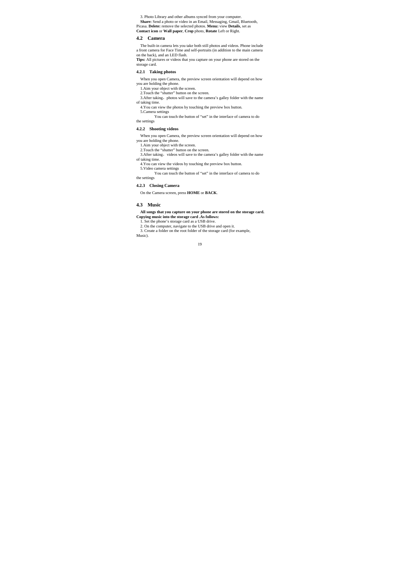3. Photo Library and other albums synced from your computer. Share: Send a photo or video in an Email, Messaging, Gmail, Bluetooth, Picasa. Delete: remove the selected photos. Menu: view Details, set as Contact icon or Wall paper, Crop photo, Rotate Left or Right.

#### **4.2 Camera**

The built-in camera lets you take both still photos and videos. Phone include a front camera for Face Time and self-portraits (in addition to the main camera on the back), and an LED flash. **Tips:** All pictures or videos that you capture on your phone are stored on the

storage card.

## **4.2.1 Taking photos**

When you open Camera, the preview screen orientation will depend on how you are holding the phone. 1.Aim your object with the screen. 2.Touch the "shutter" button on the screen.

3.After taking, photos will save to the camera's galley folder with the name

- of taking time. 4.You can view the photos by touching the preview box button.
	-

5.Camera settings You can touch the button of "set" in the interface of camera to do the settings

## **4.2.2 Shooting videos**

When you open Camera, the preview screen orientation will depend on how

- you are holding the phone. 1.Aim your object with the screen.
- 2. Touch the "shutter" button on the screen.
- 3.After taking, videos will save to the camera's galley folder with the name of taking time.
	- 4.You can view the videos by touching the preview box button.

5.Video camera settings You can touch the button of "set" in the interface of camera to do the settings

## **4.2.3 Closing Camera**

On the Camera screen, press **HOME** or **BACK**.

#### **4.3 Music**

**All songs that you capture on your phone are stored on the storage card. Copying music into the storage card .As follows:**

1. Set the phone's storage card as a USB drive.

2. On the computer, navigate to the USB drive and open it. 3. Create a folder on the root folder of the storage card (for example, Music).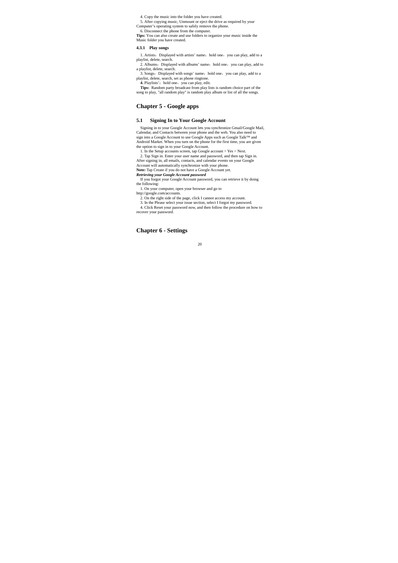4. Copy the music into the folder you have created.

5. After copying music, Unmount or eject the drive as required by your Computer's operating system to safely remove the phone.

6. Disconnect the phone from the computer.

**Tips:** You can also create and use folders to organize your music inside the Music folder you have created.

## **4.3.1 Play songs**

1. Artists: Displayed with artists' name; hold one, you can play, add to a playlist, delete, search.<br>2. Albums: Displayed with albums' name; hold one, you can play, add to

a playlist, delete, search.

3. Songs: Displayed with songs' name; hold one, you can play, add to a<br>playlist, delete, search, set as phone ringtone.<br>**4.** Playlists'; hold one, you can play, edit.<br>**4.** Playlists'; hold one, you can play edit.<br>**Tips:** R

## **Chapter 5 - Google apps**

#### **5.1 Signing In to Your Google Account**

Signing in to your Google Account lets you synchronize Gmail/Google Mail, Calendar, and Contacts between your phone and the web. You also need to sign into a Google Account to use Google Apps such as Google Talk™ and Android Market. When you turn on the phone for the first time, you are given the option to sign in to your Google Account.

1. In the Setup accounts screen, tap Google account > Yes > Next.<br>2. Tap Sign in. Enter your user name and password, and then tap Sign in.<br>After signing in, all emails, contacts, and calendar events on your Google<br>Account

**Note:** Tap Create if you do not have a Google Account yet. *Retrieving your Google Account password* 

If you forgot your Google Account password, you can retrieve it by doing the following:

1. On your computer, open your browser and go to

http://google.com/accounts.

2. On the right side of the page, click I cannot access my account. 3. In the Please select your issue section, select I forgot my password.

4. Click Reset your password now, and then follow the procedure on how to recover your password.

## **Chapter 6 - Settings**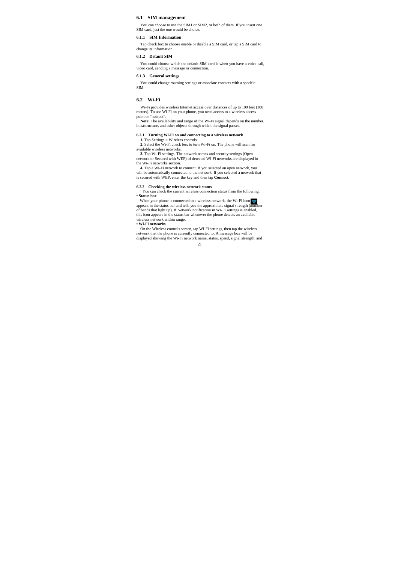## **6.1 SIM management**

You can choose to use the SIM1 or SIM2, or both of them. If you insert one SIM card, just the one would be choice.

#### **6.1.1 SIM Information**

Tap check box to choose enable or disable a SIM card, or tap a SIM card to change its information.

#### **6.1.2 Default SIM**

You could choose which the default SIM card is when you have a voice call, video card, sending a message or connection.

#### **6.1.3 General settings**

You could change roaming settings or associate contacts with a specific SIM.

#### **6.2 Wi-Fi**

Wi-Fi provides wireless Internet access over distances of up to 100 feet (100 meters). To use Wi-Fi on your phone, you need access to a wireless access

point or "hotspot".<br>**Note:** The availability and range of the Wi-Fi signal depends on the number,<br>infrastructure, and other objects through which the signal passes.

## **6.2.1 Turning Wi-Fi on and connecting to a wireless network**

**1.** Tap Settings > Wireless controls. **2.** Select the Wi-Fi check box to turn Wi-Fi on. The phone will scan for available wireless networks.

**3.** Tap Wi-Fi settings. The network names and security settings (Open network or Secured with WEP) of detected Wi-Fi networks are displayed in the Wi-Fi networks section.

**4.** Tap a Wi-Fi network to connect. If you selected an open network, you will be automatically connected to the network. If you selected a network that is secured with WEP, enter the key and then tap **Connect.**

## **6.2.2 Checking the wireless network status**

You can check the current wireless connection status from the following: **• Status bar**

When your phone is connected to a wireless network, the Wi-Fi icon  $\Rightarrow$ appears in the status bar and tells you the approximate signal strength (number of bands that light up). If Network notification in Wi-Fi settings is enabled, this icon appears in the status bar whenever the phone detects an available wireless network within range. **• Wi-Fi networks**

On the Wireless controls screen, tap Wi-Fi settings, then tap the wireless network that the phone is currently connected to. A message box will be displayed showing the Wi-Fi network name, status, speed, signal strength, and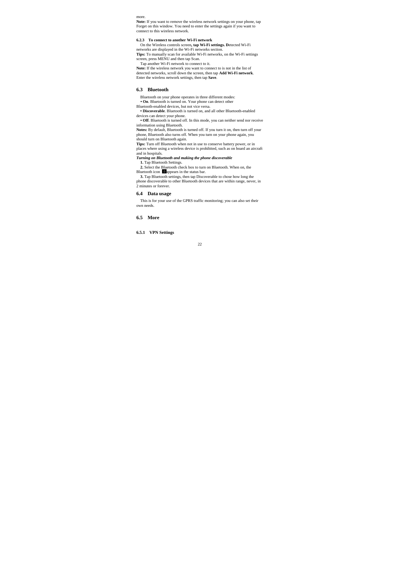more.

Note: If you want to remove the wireless network settings on your phone, tap Forget on this window. You need to enter the settings again if you want to connect to this wireless network.

**6.2.3 To connect to another Wi-Fi network**  On the Wireless controls screen**, tap Wi-Fi settings. D**etected Wi-Fi

networks are displayed in the Wi-Fi networks section.<br> **Tips:** To manually scan for available Wi-Fi networks, on the Wi-Fi settings<br>
screen, press MENU and then tap Scan.<br>
Tap another Wi-Fi network to connect to it.

**Note:** If the wireless network you want to connect to is not in the list of detected networks, scroll down the screen, then tap **Add Wi-Fi network**. Enter the wireless network settings, then tap **Save**.

#### **6.3 Bluetooth**

Bluetooth on your phone operates in three different modes: **• On**. Bluetooth is turned on. Your phone can detect other

Bluetooth-enabled devices, but not vice versa. **• Discoverable**. Bluetooth is turned on, and all other Bluetooth-enabled devices can detect your phone. **• Off**. Bluetooth is turned off. In this mode, you can neither send nor receive

information using Bluetooth. **Notes:** By default, Bluetooth is turned off. If you turn it on, then turn off your

phone, Bluetooth also turns off. When you turn on your phone again, you should turn on Bluetooth again.

**Tips:** Turn off Bluetooth when not in use to conserve battery power, or in places where using a wireless device is prohibited, such as on board an aircraft and in hospitals.

*Turning on Bluetooth and making the phone discoverable* 

**1.** Tap Bluetooth Settings. **2.** Select the Bluetooth check box to turn on Bluetooth. When on, the

Bluetooth icon **D**eappears in the status bar.<br> **3.** Tap Bluetooth settings, then tap Discoverable to chose how long the

phone discoverable to other Bluetooth devices that are within range, never, in 2 minutes or forever.

## **6.4 Data usage**

This is for your use of the GPRS traffic monitoring; you can also set their own needs.

**6.5 More** 

**6.5.1 VPN Settings**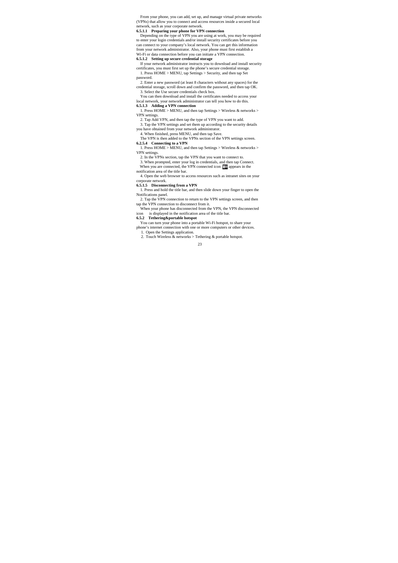From your phone, you can add, set up, and manage virtual private networks (VPNs) that allow you to connect and access resources inside a secured local

network, such as your corporate network. **6.5.1.1 Preparing your phone for VPN connection**  Depending on the type of VPN you are using at work, you may be required to enter your login credentials and/or install security certificates before you can connect to your company's local network. You can get this information from your network administrator. Also, your phone must first establish a Wi-Fi or data connection before you can initiate a VPN connection. **6.5.1.2 Setting up secure credential storage** 

If your network administrator instructs you to download and install security certificates, you must first set up the phone's secure credential storage. 1. Press HOME > MENU, tap Settings > Security, and then tap Set password.

2. Enter a new password (at least 8 characters without any spaces) for the credential storage, scroll down and confirm the password, and then tap OK. 3. Select the Use secure credentials check box.

You can then download and install the certificates needed to access your local network, your network administrator can tell you how to do this.

**6.5.1.3 Adding a VPN connection**  1. Press HOME > MENU, and then tap Settings > Wireless & networks >

VPN settings.

2. Tap Add VPN, and then tap the type of VPN you want to add.<br>3. Tap the VPN settings and set them up according to the security details<br>you have obtained from your network administrator.<br>4. When finished, press MENU, and

1. Press HOME > MENU, and then tap Settings > Wireless & networks >

VPN settings. 2. In the VPNs section, tap the VPN that you want to connect to.

3. When prompted, enter your log in credentials, and then tap Connect. When you are connected, the VPN connected icon  $\epsilon$  appears in the

notification area of the title bar.

4. Open the web browser to access resources such as intranet sites on your corporate network.

**6.5.1.5 Disconnecting from a VPN** 1. Press and hold the title bar, and then slide down your finger to open the Notifications panel.

2. Tap the VPN connection to return to the VPN settings screen, and then tap the VPN connection to disconnect from it. When your phone has disconnected from the VPN, the VPN disconnected

icon is displayed in the notification area of the title bar. **6.5.2 Tethering&portable hotspot** 

You can turn your phone into a portable Wi-Fi hotspot, to share your phone's internet connection with one or more computers or other devices.

1. Open the Settings application. 2. Touch Wireless & networks > Tethering & portable hotspot.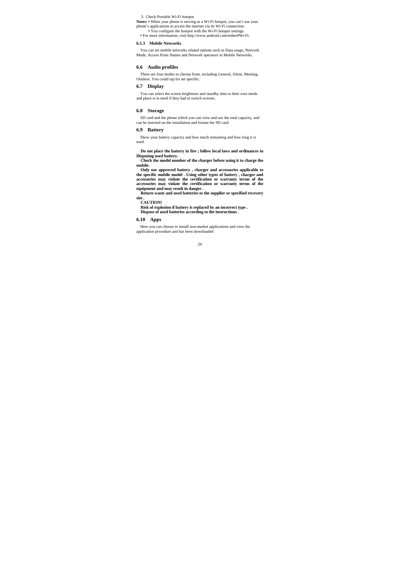3. Check Portable Wi-Fi hotspot.

Notes: • When your phone is serving as a Wi-Fi hotspot, you can't use your phone's applications to access the internet via its Wi-Fi connection.<br>phone's applications to access the internet via its Wi-Fi hotspot settings.

**•** For more information, visit http://www.android.com/tether#Wi-Fi.

## **6.5.3 Mobile Networks**

You can set mobile networks related options such as Data usage, Network Mode, Access Point Names and Network operators in Mobile Networks.

#### **6.6 Audio profiles**

There are four modes to choose from, including General, Silent, Meeting, Outdoor. You could tap for set specific.

## **6.7 Display**

You can select the screen brightness and standby time to their own needs and place is in need if they had to switch screens.

#### **6.8 Storage**

SD card and the phone which you can view and use the total capacity, and can be inserted on the installation and format the SD card.

## **6.9 Battery**

Show your battery capacity and how much remaining and how long it is used.

# **Do not place the battery in fire ; follow local laws and ordinances in**

**Disposing used battery. Check the model number of the charger before using it to charge the mobile.** 

**Only use approved battery , charger and accessories applicable to the specific mobile model . Using other types of battery , charger and**  accessories may violate the certification or warranty terms of the accessories may violate the certification or warranty terms of the equipment and may result in danger.<br>Return waste and used batteries to the supplier or s

**site . CAUTION!** 

**Risk of explosion if battery is replaced by an incorrect type . Dispose of used batteries according to the instructions .**

#### **6.10 Apps**

Here you can choose to install non-market applications and view the application procedure and has been downloaded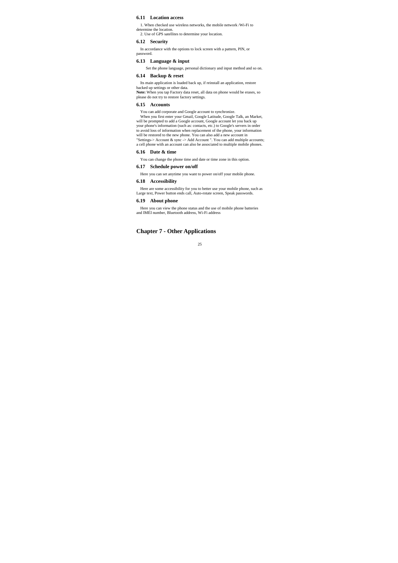#### **6.11 Location access**

1. When checked use wireless networks, the mobile network /Wi-Fi to

determine the location. 2. Use of GPS satellites to determine your location.

#### **6.12 Security**

In accordance with the options to lock screen with a pattern, PIN, or password.

## **6.13 Language & input**

Set the phone language, personal dictionary and input method and so on.

## **6.14 Backup & reset**

Its main application is loaded back up, if reinstall an application, restore backed up settings or other data.<br>**Note: W**hen you tap Factory data reset, all data on phone would be erases, so<br>please do not try to restore factory settings.

#### **6.15 Accounts**

You can add corporate and Google account to synchronize.<br>When you first enter your Gmail, Google Latitude, Google Talk, an Market,<br>will be prompted to add a Google account, Google account let you back up<br>your phone's infor to avoid loss of information when replacement of the phone, your information will be restored to the new phone. You can also add a new account in "Settings-> Account & sync -> Add Account ". You can add multiple accounts; a cell phone with an account can also be associated to multiple mobile phones.

#### **6.16 Date & time**

You can change the phone time and date or time zone in this option.

#### **6.17 Schedule power on/off**

Here you can set anytime you want to power on/off your mobile phone.

#### **6.18 Accessibility**

Here are some accessibility for you to better use your mobile phone, such as Large text, Power button ends call, Auto-rotate screen, Speak passwords.

## **6.19 About phone**

Here you can view the phone status and the use of mobile phone batteries and IMEI number, Bluetooth address, Wi-Fi address

## **Chapter 7 - Other Applications**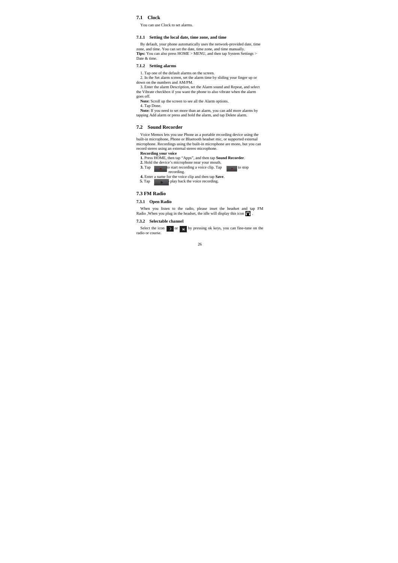#### **7.1 Clock**

You can use Clock to set alarms.

#### **7.1.1 Setting the local date, time zone, and time**

By default, your phone automatically uses the network-provided date, time zone, and time. You can set the date, time zone, and time manually. **Tips:** You can also press HOME > MENU, and then tap System Settings > Date & time.

#### **7.1.2 Setting alarms**

1. Tap one of the default alarms on the screen.

2. In the Set alarm screen, set the alarm time by sliding your finger up or down on the numbers and AM/PM.<br>
3. Enter the alarm Description, set the Alarm sound and Repeat, and select

the Vibrate checkbox if you want the phone to also vibrate when the alarm

goes off.

**Note:** Scroll up the screen to see all the Alarm options.

4. Tap Done. **Note:** If you need to set more than an alarm, you can add more alarms by tapping Add alarm or press and hold the alarm, and tap Delete alarm.

#### **7.2 Sound Recorder**

Voice Memos lets you use Phone as a portable recording device using the built-in microphone, Phone or Bluetooth headset mic, or supported external microphone. Recordings using the built-in microphone are mono, but you can record stereo using an external stereo microphone.

**Recording your voice 1.** Press HOME, then tap "Apps", and then tap **Sound Recorder**.

- **2. Hold the device's microphone near your mouth. 3. Tap recording a voice clip. Tap recording. 4.** Enter a name for the voice clip and then tap **Save**.
- **5.** Tap  $\qquad \qquad$  **play back the voice recording.**

## **7.3 FM Radio**

**7.3.1 Open Radio** 

When you listen to the radio, please inset the headset and tap FM Radio , When you plug in the headset, the idle will display this icon  $\bigcap$ 

#### **7.3.2 Selectable channel**

Select the icon  $\rightarrow$  or  $\rightarrow$  by pressing ok keys, you can fine-tune on the radio or course.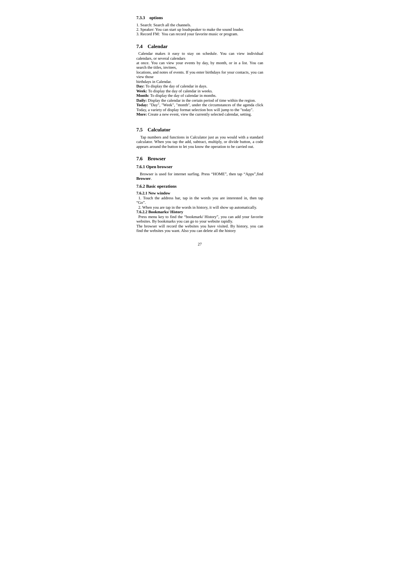## **7.3.3 options**

1. Search: Search all the channels.

2. Speaker: You can start up loudspeaker to make the sound louder. 3. Record FM: You can record your favorite music or program.

#### **7.4 Calendar**

Calendar makes it easy to stay on schedule. You can view individual calendars, or several calendars

at once. You can view your events by day, by month, or in a list. You can search the titles, invitees,

locations, and notes of events. If you enter birthdays for your contacts, you can view those<br>birthdays in Calendar

birthdays in Calendar.<br> **Day:** To display the day of calendar in days.<br> **Week:** To display the day of calendar in weeks.<br> **Month:** To display the day of calendar in months.<br> **Daily:** Display the calendar in the certain per

## **7.5 Calculator**

Tap numbers and functions in Calculator just as you would with a standard calculator. When you tap the add, subtract, multiply, or divide button, a code appears around the button to let you know the operation to be carried out.

#### **7.6 Browser**

#### **7.6.1 Open browser**

Browser is used for internet surfing. Press "HOME", then tap "Apps",find **Browser**.

## **7.6.2 Basic operations**

**7.6.2.1 New window** 

1. Touch the address bar, tap in the words you are interested in, then tap

"Go".<br>
2. When you are tap in the words in history, it will show up automatically.<br>
7.6.2.2 Bookmarks/ History<br>
Press menu key to find the "bookmark/ History", you can add your favorite<br>
websites. By bookmarks you can go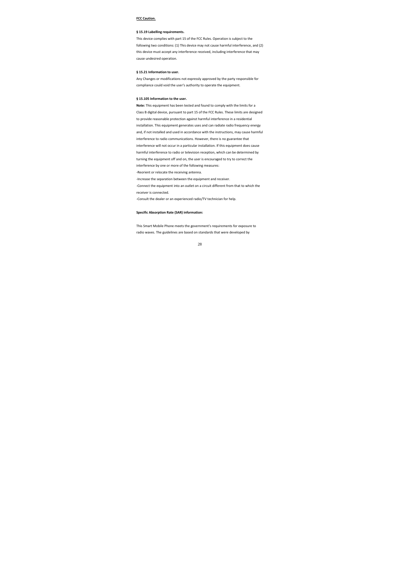## **FCC Caution.**

#### **§ 15.19 Labelling requirements.**

This device complies with part 15 of the FCC Rules. Operation is subject to the following two conditions: (1) This device may not cause harmful interference, and (2) this device must accept any interference received, including interference that may cause undesired operation.

#### **§ 15.21 Information to user.**

Any Changes or modifications not expressly approved by the party responsible for compliance could void the user's authority to operate the equipment.

#### **§ 15.105 Information to the user.**

**Note:** This equipment has been tested and found to comply with the limits for a Class B digital device, pursuant to part 15 of the FCC Rules. These limits are designed to provide reasonable protection against harmful interference in a residential installation. This equipment generates uses and can radiate radio frequency energy and, if not installed and used in accordance with the instructions, may cause harmful interference to radio communications. However, there is no guarantee that interference will not occur in a particular installation. If this equipment does cause harmful interference to radio or television reception, which can be determined by turning the equipment off and on, the user is encouraged to try to correct the interference by one or more of the following measures: ‐Reorient or relocate the receiving antenna. ‐Increase the separation between the equipment and receiver. ‐Connect the equipment into an outlet on a circuit different from that to which the receiver is connected. ‐Consult the dealer or an experienced radio/TV technician for help.

#### **Specific Absorption Rate (SAR) information:**

This Smart Mobile Phone meets the government's requirements for exposure to radio waves. The guidelines are based on standards that were developed by